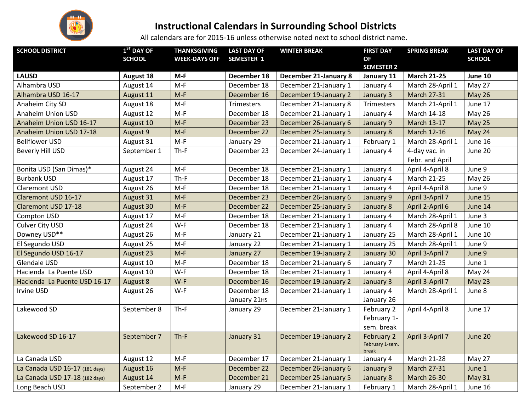

## **Instructional Calendars in Surrounding School Districts**

All calendars are for 2015-16 unless otherwise noted next to school district name.

| <b>SCHOOL DISTRICT</b>         | $1ST$ DAY OF<br><b>SCHOOL</b> | <b>THANKSGIVING</b><br><b>WEEK-DAYS OFF</b> | <b>LAST DAY OF</b><br><b>SEMESTER 1</b> | <b>WINTER BREAK</b>          | <b>FIRST DAY</b><br><b>OF</b>          | <b>SPRING BREAK</b>              | <b>LAST DAY OF</b><br><b>SCHOOL</b> |
|--------------------------------|-------------------------------|---------------------------------------------|-----------------------------------------|------------------------------|----------------------------------------|----------------------------------|-------------------------------------|
| <b>LAUSD</b>                   | <b>August 18</b>              | $M-F$                                       | December 18                             | <b>December 21-January 8</b> | <b>SEMESTER 2</b><br>January 11        | <b>March 21-25</b>               | June 10                             |
| Alhambra USD                   | August 14                     | $M-F$                                       | December 18                             | December 21-January 1        | January 4                              | March 28-April 1                 | May 27                              |
| Alhambra USD 16-17             | August 11                     | $M-F$                                       | December 16                             | December 19-January 2        | January 3                              | <b>March 27-31</b>               | <b>May 26</b>                       |
| Anaheim City SD                | August 18                     | $M-F$                                       | Trimesters                              | December 21-January 8        | Trimesters                             | March 21-April 1                 | June 17                             |
| Anaheim Union USD              | August 12                     | $M-F$                                       | December 18                             | December 21-January 1        | January 4                              | March 14-18                      | <b>May 26</b>                       |
| Anaheim Union USD 16-17        | August 10                     | $M-F$                                       | December 23                             | December 26-January 6        | January 9                              | <b>March 13-17</b>               | May 25                              |
| Anaheim Union USD 17-18        | August 9                      | $M-F$                                       | December 22                             | December 25-January 5        | January 8                              | <b>March 12-16</b>               | May 24                              |
| <b>Bellflower USD</b>          | August 31                     | $M-F$                                       | January 29                              | December 21-January 1        | February 1                             | March 28-April 1                 | June 16                             |
| <b>Beverly Hill USD</b>        | September 1                   | $Th-F$                                      | December 23                             | December 24-January 1        | January 4                              | 4-day vac. in<br>Febr. and April | June 20                             |
| Bonita USD (San Dimas)*        | August 24                     | $M-F$                                       | December 18                             | December 21-January 1        | January 4                              | April 4-April 8                  | June 9                              |
| <b>Burbank USD</b>             | August 17                     | $Th-F$                                      | December 18                             | December 21-January 1        | January 4                              | March 21-25                      | May 26                              |
| <b>Claremont USD</b>           | August 26                     | $M-F$                                       | December 18                             | December 21-January 1        | January 4                              | April 4-April 8                  | June 9                              |
| Claremont USD 16-17            | August 31                     | $M-F$                                       | December 23                             | December 26-January 6        | January 9                              | April 3-April 7                  | June 15                             |
| <b>Claremont USD 17-18</b>     | August 30                     | $M-F$                                       | December 22                             | December 25-January 5        | January 8                              | April 2-April 6                  | June 14                             |
| Compton USD                    | August 17                     | $M-F$                                       | December 18                             | December 21-January 1        | January 4                              | March 28-April 1                 | June 3                              |
| Culver City USD                | August 24                     | $W-F$                                       | December 18                             | December 21-January 1        | January 4                              | March 28-April 8                 | June 10                             |
| Downey USD**                   | August 26                     | $M-F$                                       | January 21                              | December 21-January 1        | January 25                             | March 28-April 1                 | June 10                             |
| El Segundo USD                 | August 25                     | $M-F$                                       | January 22                              | December 21-January 1        | January 25                             | March 28-April 1                 | June 9                              |
| El Segundo USD 16-17           | August 23                     | $M-F$                                       | January 27                              | December 19-January 2        | January 30                             | April 3-April 7                  | June 9                              |
| Glendale USD                   | August 10                     | $M-F$                                       | December 18                             | December 21-January 6        | January 7                              | <b>March 21-25</b>               | June 1                              |
| Hacienda La Puente USD         | August 10                     | W-F                                         | December 18                             | December 21-January 1        | January 4                              | April 4-April 8                  | May 24                              |
| Hacienda La Puente USD 16-17   | August 8                      | $W-F$                                       | December 16                             | December 19-January 2        | January 3                              | April 3-April 7                  | May 23                              |
| Irvine USD                     | August 26                     | W-F                                         | December 18                             | December 21-January 1        | January 4                              | March 28-April 1                 | June 8                              |
|                                |                               |                                             | January 21HS                            |                              | January 26                             |                                  |                                     |
| Lakewood SD                    | September 8                   | $Th-F$                                      | January 29                              | December 21-January 1        | February 2                             | April 4-April 8                  | June 17                             |
|                                |                               |                                             |                                         |                              | February 1-                            |                                  |                                     |
|                                |                               |                                             |                                         |                              | sem. break                             |                                  |                                     |
| Lakewood SD 16-17              | September 7                   | $Th-F$                                      | January 31                              | December 19-January 2        | February 2<br>February 1-sem.<br>break | April 3-April 7                  | June 20                             |
| La Canada USD                  | August 12                     | $M-F$                                       | December 17                             | December 21-January 1        | January 4                              | March 21-28                      | May 27                              |
| La Canada USD 16-17 (181 days) | August 16                     | $M-F$                                       | December 22                             | December 26-January 6        | January 9                              | <b>March 27-31</b>               | June 1                              |
| La Canada USD 17-18 (182 days) | August 14                     | $M-F$                                       | December 21                             | December 25-January 5        | January 8                              | <b>March 26-30</b>               | May 31                              |
| Long Beach USD                 | September 2                   | $M-F$                                       | January 29                              | December 21-January 1        | February 1                             | March 28-April 1                 | June 16                             |